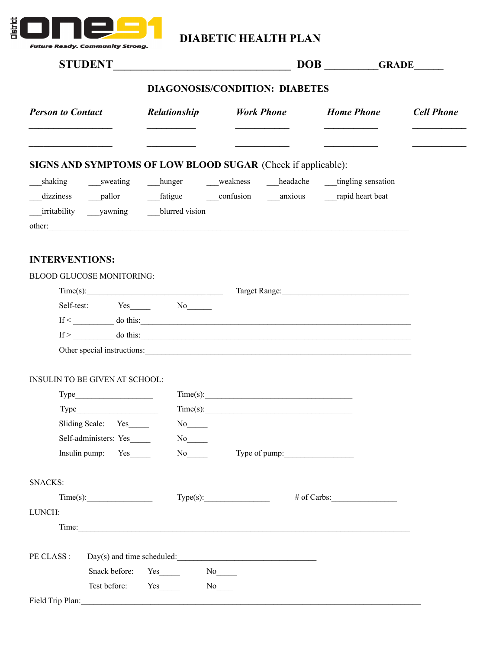

## **DIABETIC HEALTH PLAN**

|                                                                   |               |                                                                                                                        | DOB GRADE |                   |  |
|-------------------------------------------------------------------|---------------|------------------------------------------------------------------------------------------------------------------------|-----------|-------------------|--|
| <b>DIAGONOSIS/CONDITION: DIABETES</b>                             |               |                                                                                                                        |           |                   |  |
| <b>Person to Contact</b>                                          | Relationship  | <b>Work Phone Home Phone</b>                                                                                           |           | <b>Cell Phone</b> |  |
| SIGNS AND SYMPTOMS OF LOW BLOOD SUGAR (Check if applicable):      |               |                                                                                                                        |           |                   |  |
| shaking sweating hunger weakness headache tingling sensation      |               |                                                                                                                        |           |                   |  |
| <b>INTERVENTIONS:</b>                                             |               |                                                                                                                        |           |                   |  |
| <b>BLOOD GLUCOSE MONITORING:</b><br>Self-test: Yes______ No______ |               |                                                                                                                        |           |                   |  |
|                                                                   |               | $\text{If} < \underline{\hspace{1cm}}$ do this:<br>$\text{If} > \underline{\hspace{1cm}}$ do this:                     |           |                   |  |
| INSULIN TO BE GIVEN AT SCHOOL:                                    |               |                                                                                                                        |           |                   |  |
|                                                                   |               |                                                                                                                        |           |                   |  |
| Type                                                              |               |                                                                                                                        |           |                   |  |
| Sliding Scale: Yes                                                | No not        |                                                                                                                        |           |                   |  |
| Self-administers: Yes                                             | $\mathrm{No}$ |                                                                                                                        |           |                   |  |
| Insulin pump: Yes                                                 |               | No Type of pump:                                                                                                       |           |                   |  |
| <b>SNACKS:</b>                                                    |               |                                                                                                                        |           |                   |  |
| Time(s):                                                          |               | Type(s):                                                                                                               |           |                   |  |
| LUNCH:                                                            |               |                                                                                                                        |           |                   |  |
|                                                                   |               | Time:                                                                                                                  |           |                   |  |
| PE CLASS :                                                        |               | $Day(s)$ and time scheduled:                                                                                           |           |                   |  |
| Snack before:                                                     | $Yes$ No $No$ |                                                                                                                        |           |                   |  |
|                                                                   |               |                                                                                                                        |           |                   |  |
| Field Trip Plan:                                                  |               | <u> 1989 - Johann Stoff, deutscher Stoffen und der Stoffen und der Stoffen und der Stoffen und der Stoffen und der</u> |           |                   |  |